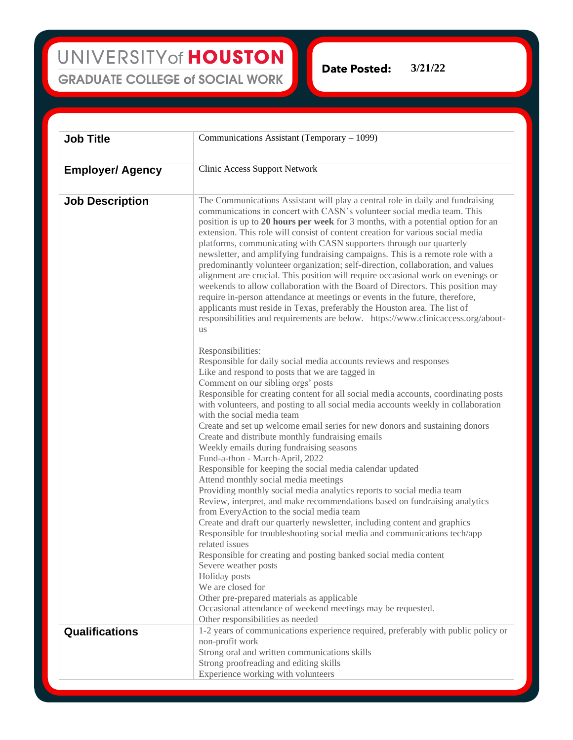UNIVERSITY of HOUSTON **GRADUATE COLLEGE of SOCIAL WORK** 

**Date Posted: 3/21/22** 

| <b>Job Title</b>        | Communications Assistant (Temporary – 1099)                                                                                                                                                                                                                                                                                                                                                                                                                                                                                                                                                                                                                                                                                                                                                                                                                                                                                                                                                              |
|-------------------------|----------------------------------------------------------------------------------------------------------------------------------------------------------------------------------------------------------------------------------------------------------------------------------------------------------------------------------------------------------------------------------------------------------------------------------------------------------------------------------------------------------------------------------------------------------------------------------------------------------------------------------------------------------------------------------------------------------------------------------------------------------------------------------------------------------------------------------------------------------------------------------------------------------------------------------------------------------------------------------------------------------|
| <b>Employer/ Agency</b> | <b>Clinic Access Support Network</b>                                                                                                                                                                                                                                                                                                                                                                                                                                                                                                                                                                                                                                                                                                                                                                                                                                                                                                                                                                     |
| <b>Job Description</b>  | The Communications Assistant will play a central role in daily and fundraising<br>communications in concert with CASN's volunteer social media team. This<br>position is up to 20 hours per week for 3 months, with a potential option for an<br>extension. This role will consist of content creation for various social media<br>platforms, communicating with CASN supporters through our quarterly<br>newsletter, and amplifying fundraising campaigns. This is a remote role with a<br>predominantly volunteer organization; self-direction, collaboration, and values<br>alignment are crucial. This position will require occasional work on evenings or<br>weekends to allow collaboration with the Board of Directors. This position may<br>require in-person attendance at meetings or events in the future, therefore,<br>applicants must reside in Texas, preferably the Houston area. The list of<br>responsibilities and requirements are below. https://www.clinicaccess.org/about-<br>us |
|                         | Responsibilities:<br>Responsible for daily social media accounts reviews and responses<br>Like and respond to posts that we are tagged in<br>Comment on our sibling orgs' posts<br>Responsible for creating content for all social media accounts, coordinating posts<br>with volunteers, and posting to all social media accounts weekly in collaboration<br>with the social media team<br>Create and set up welcome email series for new donors and sustaining donors<br>Create and distribute monthly fundraising emails<br>Weekly emails during fundraising seasons                                                                                                                                                                                                                                                                                                                                                                                                                                  |
|                         | Fund-a-thon - March-April, 2022<br>Responsible for keeping the social media calendar updated<br>Attend monthly social media meetings<br>Providing monthly social media analytics reports to social media team<br>Review, interpret, and make recommendations based on fundraising analytics<br>from EveryAction to the social media team<br>Create and draft our quarterly newsletter, including content and graphics<br>Responsible for troubleshooting social media and communications tech/app                                                                                                                                                                                                                                                                                                                                                                                                                                                                                                        |
|                         | related issues<br>Responsible for creating and posting banked social media content<br>Severe weather posts<br>Holiday posts<br>We are closed for<br>Other pre-prepared materials as applicable<br>Occasional attendance of weekend meetings may be requested.                                                                                                                                                                                                                                                                                                                                                                                                                                                                                                                                                                                                                                                                                                                                            |
| Qualifications          | Other responsibilities as needed<br>1-2 years of communications experience required, preferably with public policy or<br>non-profit work<br>Strong oral and written communications skills<br>Strong proofreading and editing skills<br>Experience working with volunteers                                                                                                                                                                                                                                                                                                                                                                                                                                                                                                                                                                                                                                                                                                                                |